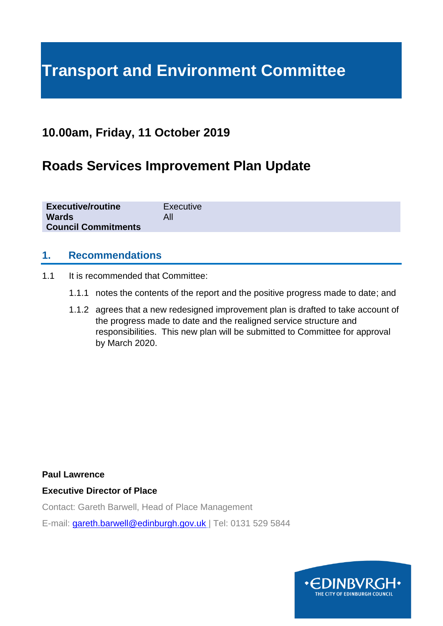# **Transport and Environment Committee**

# **10.00am, Friday, 11 October 2019**

# **Roads Services Improvement Plan Update**

| <b>Executive/routine</b>   | Executive |
|----------------------------|-----------|
| <b>Wards</b>               | All       |
| <b>Council Commitments</b> |           |

#### **1. Recommendations**

- 1.1 It is recommended that Committee:
	- 1.1.1 notes the contents of the report and the positive progress made to date; and
	- 1.1.2 agrees that a new redesigned improvement plan is drafted to take account of the progress made to date and the realigned service structure and responsibilities. This new plan will be submitted to Committee for approval by March 2020.

**Paul Lawrence**

#### **Executive Director of Place**

Contact: Gareth Barwell, Head of Place Management

E-mail: [gareth.barwell@edinburgh.gov.uk](mailto:gareth.barwell@edinburgh.gov.uk) | Tel: 0131 529 5844

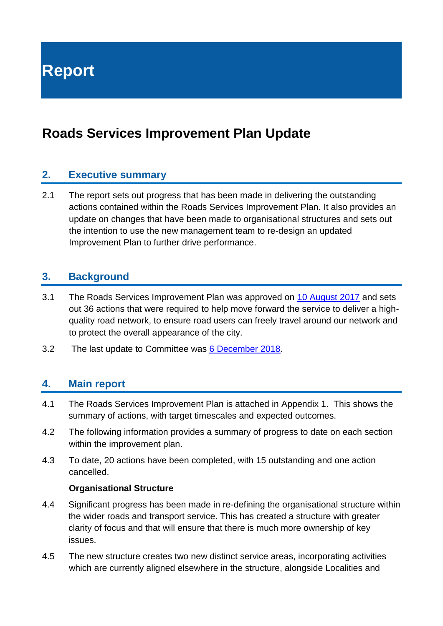**Report**

# **Roads Services Improvement Plan Update**

#### **2. Executive summary**

2.1 The report sets out progress that has been made in delivering the outstanding actions contained within the Roads Services Improvement Plan. It also provides an update on changes that have been made to organisational structures and sets out the intention to use the new management team to re-design an updated Improvement Plan to further drive performance.

#### **3. Background**

- 3.1 The Roads Services Improvement Plan was approved on [10 August 2017](https://democracy.edinburgh.gov.uk/Data/Transport%20and%20Environment%20Committee/20170810/Agenda/item_71_-_roads_services_improvement_report.pdf) and sets out 36 actions that were required to help move forward the service to deliver a highquality road network, to ensure road users can freely travel around our network and to protect the overall appearance of the city.
- 3.2 The last update to Committee was [6 December 2018.](https://democracy.edinburgh.gov.uk/Data/Transport%20and%20Environment%20Committee/20181206/Agenda/item_72_-_roads_services_improvement_plan.pdf)

#### **4. Main report**

- 4.1 The Roads Services Improvement Plan is attached in Appendix 1. This shows the summary of actions, with target timescales and expected outcomes.
- 4.2 The following information provides a summary of progress to date on each section within the improvement plan.
- 4.3 To date, 20 actions have been completed, with 15 outstanding and one action cancelled.

#### **Organisational Structure**

- 4.4 Significant progress has been made in re-defining the organisational structure within the wider roads and transport service. This has created a structure with greater clarity of focus and that will ensure that there is much more ownership of key issues.
- 4.5 The new structure creates two new distinct service areas, incorporating activities which are currently aligned elsewhere in the structure, alongside Localities and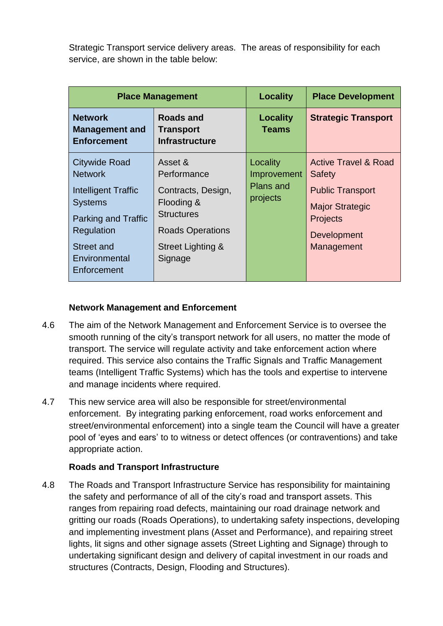Strategic Transport service delivery areas. The areas of responsibility for each service, are shown in the table below:

|                                                                                                                                                                                  | <b>Place Management</b>                                                                                                                    | <b>Locality</b>                                         | <b>Place Development</b>                                                                                                                       |
|----------------------------------------------------------------------------------------------------------------------------------------------------------------------------------|--------------------------------------------------------------------------------------------------------------------------------------------|---------------------------------------------------------|------------------------------------------------------------------------------------------------------------------------------------------------|
| <b>Network</b><br><b>Management and</b><br><b>Enforcement</b>                                                                                                                    | Roads and<br><b>Transport</b><br><b>Infrastructure</b>                                                                                     | <b>Locality</b><br><b>Teams</b>                         | <b>Strategic Transport</b>                                                                                                                     |
| <b>Citywide Road</b><br><b>Network</b><br>Intelligent Traffic<br><b>Systems</b><br><b>Parking and Traffic</b><br>Regulation<br><b>Street and</b><br>Environmental<br>Enforcement | Asset &<br>Performance<br>Contracts, Design,<br>Flooding &<br><b>Structures</b><br><b>Roads Operations</b><br>Street Lighting &<br>Signage | Locality<br>Improvement<br><b>Plans and</b><br>projects | <b>Active Travel &amp; Road</b><br>Safety<br><b>Public Transport</b><br><b>Major Strategic</b><br><b>Projects</b><br>Development<br>Management |

#### **Network Management and Enforcement**

- 4.6 The aim of the Network Management and Enforcement Service is to oversee the smooth running of the city's transport network for all users, no matter the mode of transport. The service will regulate activity and take enforcement action where required. This service also contains the Traffic Signals and Traffic Management teams (Intelligent Traffic Systems) which has the tools and expertise to intervene and manage incidents where required.
- 4.7 This new service area will also be responsible for street/environmental enforcement. By integrating parking enforcement, road works enforcement and street/environmental enforcement) into a single team the Council will have a greater pool of 'eyes and ears' to to witness or detect offences (or contraventions) and take appropriate action.

#### **Roads and Transport Infrastructure**

4.8 The Roads and Transport Infrastructure Service has responsibility for maintaining the safety and performance of all of the city's road and transport assets. This ranges from repairing road defects, maintaining our road drainage network and gritting our roads (Roads Operations), to undertaking safety inspections, developing and implementing investment plans (Asset and Performance), and repairing street lights, lit signs and other signage assets (Street Lighting and Signage) through to undertaking significant design and delivery of capital investment in our roads and structures (Contracts, Design, Flooding and Structures).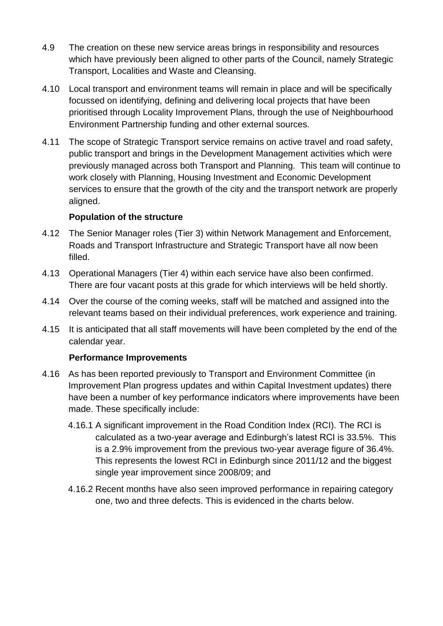- 4.9 The creation on these new service areas brings in responsibility and resources which have previously been aligned to other parts of the Council, namely Strategic Transport, Localities and Waste and Cleansing.
- 4.10 Local transport and environment teams will remain in place and will be specifically focussed on identifying, defining and delivering local projects that have been prioritised through Locality Improvement Plans, through the use of Neighbourhood Environment Partnership funding and other external sources.
- 4.11 The scope of Strategic Transport service remains on active travel and road safety, public transport and brings in the Development Management activities which were previously managed across both Transport and Planning. This team will continue to work closely with Planning, Housing Investment and Economic Development services to ensure that the growth of the city and the transport network are properly aligned.

#### **Population of the structure**

- 4.12 The Senior Manager roles (Tier 3) within Network Management and Enforcement, Roads and Transport Infrastructure and Strategic Transport have all now been filled.
- 4.13 Operational Managers (Tier 4) within each service have also been confirmed. There are four vacant posts at this grade for which interviews will be held shortly.
- 4.14 Over the course of the coming weeks, staff will be matched and assigned into the relevant teams based on their individual preferences, work experience and training.
- 4.15 It is anticipated that all staff movements will have been completed by the end of the calendar year.

#### **Performance Improvements**

- 4.16 As has been reported previously to Transport and Environment Committee (in Improvement Plan progress updates and within Capital Investment updates) there have been a number of key performance indicators where improvements have been made. These specifically include:
	- 4.16.1 A significant improvement in the Road Condition Index (RCI). The RCI is calculated as a two-year average and Edinburgh's latest RCI is 33.5%. This is a 2.9% improvement from the previous two-year average figure of 36.4%. This represents the lowest RCI in Edinburgh since 2011/12 and the biggest single year improvement since 2008/09; and
	- 4.16.2 Recent months have also seen improved performance in repairing category one, two and three defects. This is evidenced in the charts below.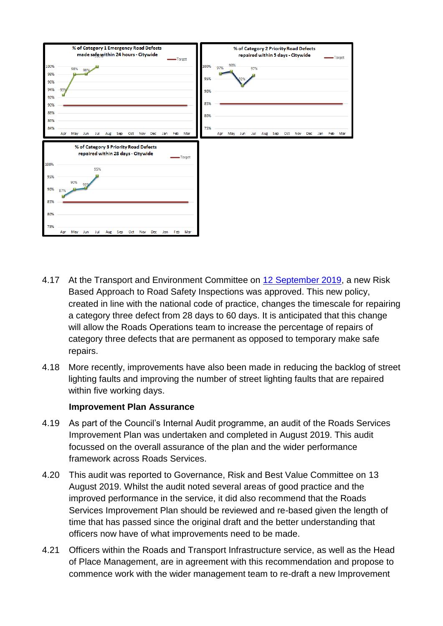

- 4.17 At the Transport and Environment Committee on 12 [September 2019,](https://democracy.edinburgh.gov.uk/documents/s6016/Item%207.4%20-%20Risk%20Based%20Approach%20to%20Road%20Asset%20Safety%20Inspections.pdf) a new Risk Based Approach to Road Safety Inspections was approved. This new policy, created in line with the national code of practice, changes the timescale for repairing a category three defect from 28 days to 60 days. It is anticipated that this change will allow the Roads Operations team to increase the percentage of repairs of category three defects that are permanent as opposed to temporary make safe repairs.
- 4.18 More recently, improvements have also been made in reducing the backlog of street lighting faults and improving the number of street lighting faults that are repaired within five working days.

#### **Improvement Plan Assurance**

- 4.19 As part of the Council's Internal Audit programme, an audit of the Roads Services Improvement Plan was undertaken and completed in August 2019. This audit focussed on the overall assurance of the plan and the wider performance framework across Roads Services.
- 4.20 This audit was reported to Governance, Risk and Best Value Committee on 13 August 2019. Whilst the audit noted several areas of good practice and the improved performance in the service, it did also recommend that the Roads Services Improvement Plan should be reviewed and re-based given the length of time that has passed since the original draft and the better understanding that officers now have of what improvements need to be made.
- 4.21 Officers within the Roads and Transport Infrastructure service, as well as the Head of Place Management, are in agreement with this recommendation and propose to commence work with the wider management team to re-draft a new Improvement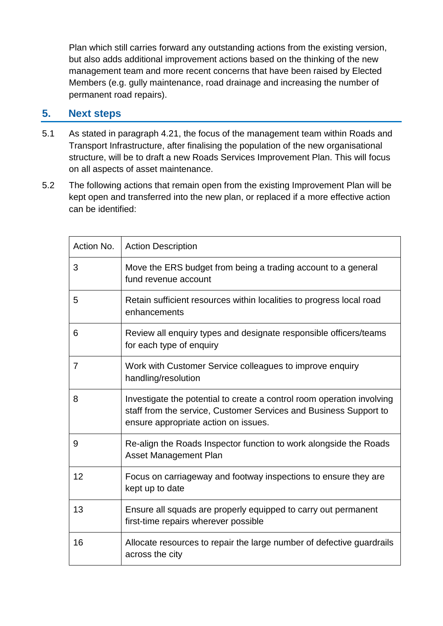Plan which still carries forward any outstanding actions from the existing version, but also adds additional improvement actions based on the thinking of the new management team and more recent concerns that have been raised by Elected Members (e.g. gully maintenance, road drainage and increasing the number of permanent road repairs).

#### **5. Next steps**

- 5.1 As stated in paragraph 4.21, the focus of the management team within Roads and Transport Infrastructure, after finalising the population of the new organisational structure, will be to draft a new Roads Services Improvement Plan. This will focus on all aspects of asset maintenance.
- 5.2 The following actions that remain open from the existing Improvement Plan will be kept open and transferred into the new plan, or replaced if a more effective action can be identified:

| Action No. | <b>Action Description</b>                                                                                                                                                           |
|------------|-------------------------------------------------------------------------------------------------------------------------------------------------------------------------------------|
| 3          | Move the ERS budget from being a trading account to a general<br>fund revenue account                                                                                               |
| 5          | Retain sufficient resources within localities to progress local road<br>enhancements                                                                                                |
| 6          | Review all enquiry types and designate responsible officers/teams<br>for each type of enquiry                                                                                       |
| 7          | Work with Customer Service colleagues to improve enquiry<br>handling/resolution                                                                                                     |
| 8          | Investigate the potential to create a control room operation involving<br>staff from the service, Customer Services and Business Support to<br>ensure appropriate action on issues. |
| 9          | Re-align the Roads Inspector function to work alongside the Roads<br><b>Asset Management Plan</b>                                                                                   |
| 12         | Focus on carriageway and footway inspections to ensure they are<br>kept up to date                                                                                                  |
| 13         | Ensure all squads are properly equipped to carry out permanent<br>first-time repairs wherever possible                                                                              |
| 16         | Allocate resources to repair the large number of defective guardrails<br>across the city                                                                                            |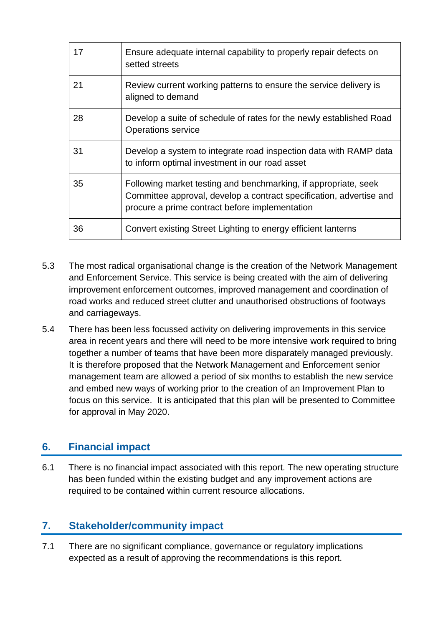| 17 | Ensure adequate internal capability to properly repair defects on<br>setted streets                                                                                                      |
|----|------------------------------------------------------------------------------------------------------------------------------------------------------------------------------------------|
| 21 | Review current working patterns to ensure the service delivery is<br>aligned to demand                                                                                                   |
| 28 | Develop a suite of schedule of rates for the newly established Road<br><b>Operations service</b>                                                                                         |
| 31 | Develop a system to integrate road inspection data with RAMP data<br>to inform optimal investment in our road asset                                                                      |
| 35 | Following market testing and benchmarking, if appropriate, seek<br>Committee approval, develop a contract specification, advertise and<br>procure a prime contract before implementation |
| 36 | Convert existing Street Lighting to energy efficient lanterns                                                                                                                            |

- 5.3 The most radical organisational change is the creation of the Network Management and Enforcement Service. This service is being created with the aim of delivering improvement enforcement outcomes, improved management and coordination of road works and reduced street clutter and unauthorised obstructions of footways and carriageways.
- 5.4 There has been less focussed activity on delivering improvements in this service area in recent years and there will need to be more intensive work required to bring together a number of teams that have been more disparately managed previously. It is therefore proposed that the Network Management and Enforcement senior management team are allowed a period of six months to establish the new service and embed new ways of working prior to the creation of an Improvement Plan to focus on this service. It is anticipated that this plan will be presented to Committee for approval in May 2020.

# **6. Financial impact**

6.1 There is no financial impact associated with this report. The new operating structure has been funded within the existing budget and any improvement actions are required to be contained within current resource allocations.

### **7. Stakeholder/community impact**

7.1 There are no significant compliance, governance or regulatory implications expected as a result of approving the recommendations is this report.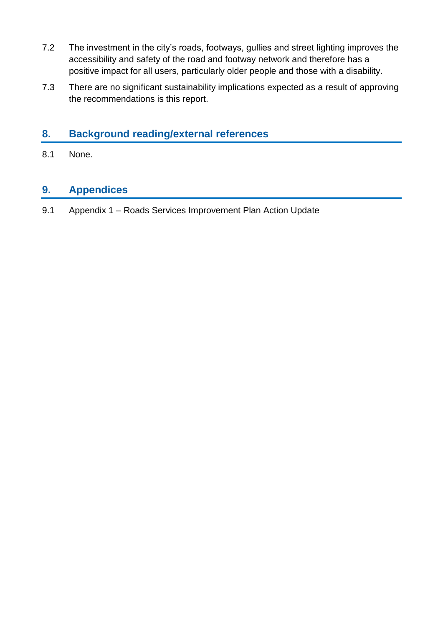- 7.2 The investment in the city's roads, footways, gullies and street lighting improves the accessibility and safety of the road and footway network and therefore has a positive impact for all users, particularly older people and those with a disability.
- 7.3 There are no significant sustainability implications expected as a result of approving the recommendations is this report.

### **8. Background reading/external references**

8.1 None.

# **9. Appendices**

9.1 Appendix 1 – Roads Services Improvement Plan Action Update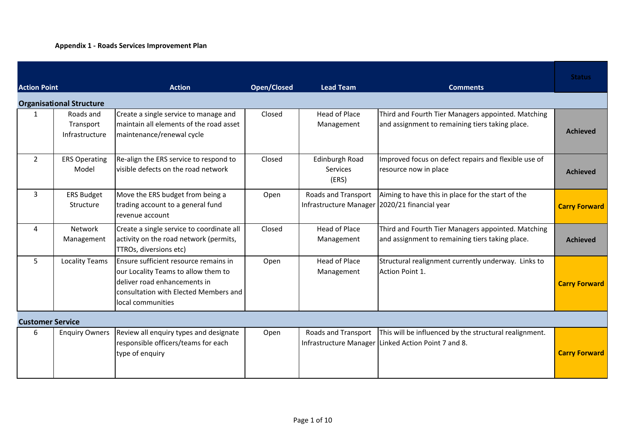#### **Appendix 1 - Roads Services Improvement Plan**

| <b>Action Point</b>     |                                          | <b>Action</b>                                                                                                                                                              | <b>Open/Closed</b> | <b>Lead Team</b>                                                     | <b>Comments</b>                                                                                               | <b>Status</b>        |
|-------------------------|------------------------------------------|----------------------------------------------------------------------------------------------------------------------------------------------------------------------------|--------------------|----------------------------------------------------------------------|---------------------------------------------------------------------------------------------------------------|----------------------|
|                         | <b>Organisational Structure</b>          |                                                                                                                                                                            |                    |                                                                      |                                                                                                               |                      |
| $\mathbf{1}$            | Roads and<br>Transport<br>Infrastructure | Create a single service to manage and<br>maintain all elements of the road asset<br>maintenance/renewal cycle                                                              | Closed             | Head of Place<br>Management                                          | Third and Fourth Tier Managers appointed. Matching<br>and assignment to remaining tiers taking place.         | <b>Achieved</b>      |
| $\overline{2}$          | <b>ERS Operating</b><br>Model            | Re-align the ERS service to respond to<br>visible defects on the road network                                                                                              | Closed             | Edinburgh Road<br>Services<br>(ERS)                                  | Improved focus on defect repairs and flexible use of<br>resource now in place                                 | <b>Achieved</b>      |
| 3                       | <b>ERS Budget</b><br>Structure           | Move the ERS budget from being a<br>trading account to a general fund<br>revenue account                                                                                   | Open               | Roads and Transport<br>Infrastructure Manager 2020/21 financial year | Aiming to have this in place for the start of the                                                             | <b>Carry Forward</b> |
| 4                       | Network<br>Management                    | Create a single service to coordinate all<br>activity on the road network (permits,<br>TTROs, diversions etc)                                                              | Closed             | <b>Head of Place</b><br>Management                                   | Third and Fourth Tier Managers appointed. Matching<br>and assignment to remaining tiers taking place.         | <b>Achieved</b>      |
| 5                       | <b>Locality Teams</b>                    | Ensure sufficient resource remains in<br>our Locality Teams to allow them to<br>deliver road enhancements in<br>consultation with Elected Members and<br>local communities | Open               | <b>Head of Place</b><br>Management                                   | Structural realignment currently underway. Links to<br>Action Point 1.                                        | <b>Carry Forward</b> |
| <b>Customer Service</b> |                                          |                                                                                                                                                                            |                    |                                                                      |                                                                                                               |                      |
| 6                       | <b>Enquiry Owners</b>                    | Review all enquiry types and designate<br>responsible officers/teams for each<br>type of enquiry                                                                           | Open               | Roads and Transport                                                  | This will be influenced by the structural realignment.<br>Infrastructure Manager Linked Action Point 7 and 8. | <b>Carry Forward</b> |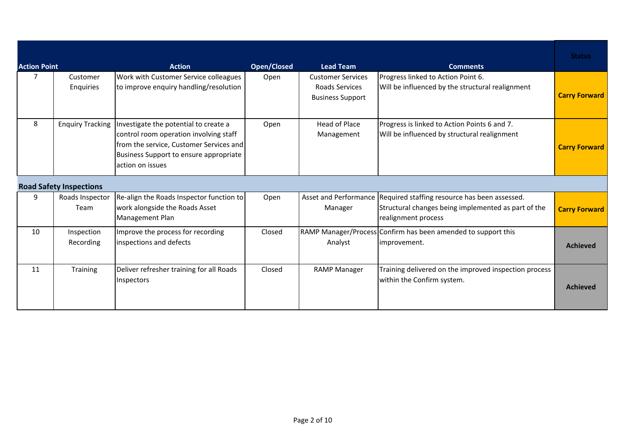| <b>Action Point</b> |                                | <b>Action</b>                                                                                                                                                                            | <b>Open/Closed</b> | <b>Lead Team</b>                                                      | <b>Comments</b>                                                                                                                                   | <b>Status</b>        |
|---------------------|--------------------------------|------------------------------------------------------------------------------------------------------------------------------------------------------------------------------------------|--------------------|-----------------------------------------------------------------------|---------------------------------------------------------------------------------------------------------------------------------------------------|----------------------|
| 7                   | Customer<br>Enquiries          | Work with Customer Service colleagues<br>to improve enguiry handling/resolution                                                                                                          | Open               | <b>Customer Services</b><br>Roads Services<br><b>Business Support</b> | Progress linked to Action Point 6.<br>Will be influenced by the structural realignment                                                            | <b>Carry Forward</b> |
| 8                   | <b>Enquiry Tracking</b>        | Investigate the potential to create a<br>control room operation involving staff<br>from the service, Customer Services and<br>Business Support to ensure appropriate<br>action on issues | Open               | <b>Head of Place</b><br>Management                                    | Progress is linked to Action Points 6 and 7.<br>Will be influenced by structural realignment                                                      | <b>Carry Forward</b> |
|                     | <b>Road Safety Inspections</b> |                                                                                                                                                                                          |                    |                                                                       |                                                                                                                                                   |                      |
| 9                   | Roads Inspector<br>Team        | Re-align the Roads Inspector function to<br>work alongside the Roads Asset<br>Management Plan                                                                                            | Open               | Manager                                                               | Asset and Performance Required staffing resource has been assessed.<br>Structural changes being implemented as part of the<br>realignment process | <b>Carry Forward</b> |
| 10                  | Inspection<br>Recording        | Improve the process for recording<br>inspections and defects                                                                                                                             | Closed             | Analyst                                                               | RAMP Manager/Process Confirm has been amended to support this<br>improvement.                                                                     | <b>Achieved</b>      |
| 11                  | <b>Training</b>                | Deliver refresher training for all Roads<br>Inspectors                                                                                                                                   | Closed             | <b>RAMP Manager</b>                                                   | Training delivered on the improved inspection process<br>within the Confirm system.                                                               | <b>Achieved</b>      |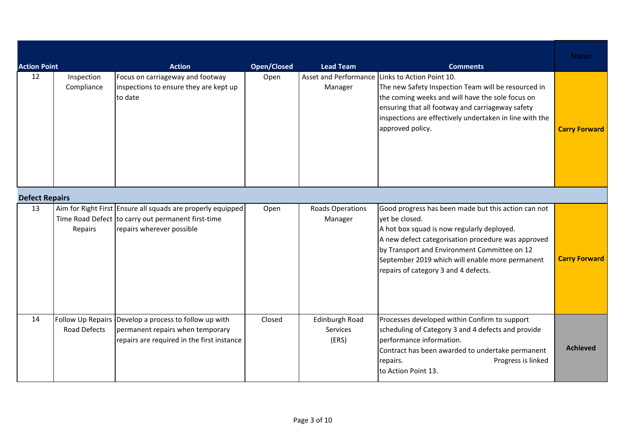| <b>Action Point</b>   |                          | <b>Action</b>                                                                                                                                  | <b>Open/Closed</b> | <b>Lead Team</b>                    | <b>Comments</b>                                                                                                                                                                                                                                                                                                      | <b>Status</b>        |
|-----------------------|--------------------------|------------------------------------------------------------------------------------------------------------------------------------------------|--------------------|-------------------------------------|----------------------------------------------------------------------------------------------------------------------------------------------------------------------------------------------------------------------------------------------------------------------------------------------------------------------|----------------------|
| 12                    | Inspection<br>Compliance | Focus on carriageway and footway<br>inspections to ensure they are kept up<br>to date                                                          | Open               | Manager                             | Asset and Performance Links to Action Point 10.<br>The new Safety Inspection Team will be resourced in<br>the coming weeks and will have the sole focus on<br>ensuring that all footway and carriageway safety<br>inspections are effectively undertaken in line with the<br>approved policy.                        | <b>Carry Forward</b> |
| <b>Defect Repairs</b> |                          |                                                                                                                                                |                    |                                     |                                                                                                                                                                                                                                                                                                                      |                      |
| 13                    | Repairs                  | Aim for Right First Ensure all squads are properly equipped<br>Time Road Defect to carry out permanent first-time<br>repairs wherever possible | Open               | <b>Roads Operations</b><br>Manager  | Good progress has been made but this action can not<br>yet be closed.<br>A hot box squad is now regularly deployed.<br>A new defect categorisation procedure was approved<br>by Transport and Environment Committee on 12<br>September 2019 which will enable more permanent<br>repairs of category 3 and 4 defects. | <b>Carry Forward</b> |
| 14                    | Road Defects             | Follow Up Repairs Develop a process to follow up with<br>permanent repairs when temporary<br>repairs are required in the first instance        | Closed             | Edinburgh Road<br>Services<br>(ERS) | Processes developed within Confirm to support<br>scheduling of Category 3 and 4 defects and provide<br>performance information.<br>Contract has been awarded to undertake permanent<br>repairs.<br>Progress is linked<br>to Action Point 13.                                                                         | <b>Achieved</b>      |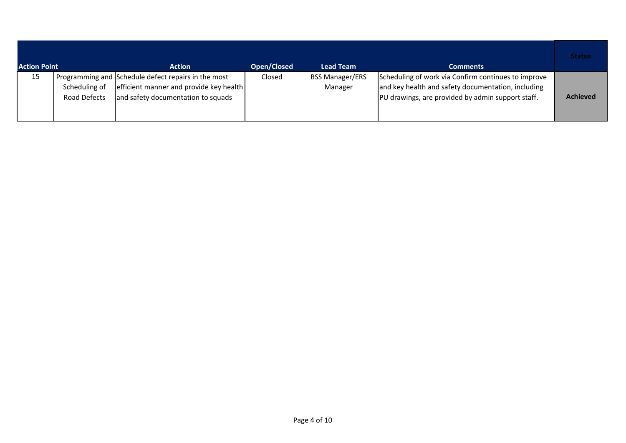| <b>Action Point</b> |                               | <b>Action</b>                                                                                                                        | Open/Closed | <b>Lead Team</b>                  | <b>Comments</b>                                                                                                                                                | <b>Status</b>   |
|---------------------|-------------------------------|--------------------------------------------------------------------------------------------------------------------------------------|-------------|-----------------------------------|----------------------------------------------------------------------------------------------------------------------------------------------------------------|-----------------|
| 15                  | Scheduling of<br>Road Defects | Programming and Schedule defect repairs in the most<br>efficient manner and provide key health<br>and safety documentation to squads | Closed      | <b>BSS Manager/ERS</b><br>Manager | Scheduling of work via Confirm continues to improve<br>and key health and safety documentation, including<br>PU drawings, are provided by admin support staff. | <b>Achieved</b> |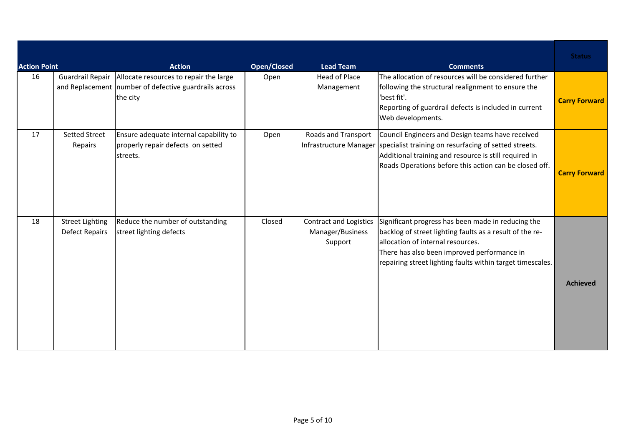| <b>Action Point</b> |                                          | <b>Action</b>                                                                                                 | <b>Open/Closed</b> | <b>Lead Team</b>                                             | <b>Comments</b>                                                                                                                                                                                                                                                  | <b>Status</b>        |
|---------------------|------------------------------------------|---------------------------------------------------------------------------------------------------------------|--------------------|--------------------------------------------------------------|------------------------------------------------------------------------------------------------------------------------------------------------------------------------------------------------------------------------------------------------------------------|----------------------|
| 16                  | Guardrail Repair                         | Allocate resources to repair the large<br>and Replacement   number of defective guardrails across<br>the city | Open               | Head of Place<br>Management                                  | The allocation of resources will be considered further<br>following the structural realignment to ensure the<br>'best fit'.<br>Reporting of guardrail defects is included in current<br>Web developments.                                                        | <b>Carry Forward</b> |
| 17                  | <b>Setted Street</b><br>Repairs          | Ensure adequate internal capability to<br>properly repair defects on setted<br>streets.                       | Open               | Roads and Transport                                          | Council Engineers and Design teams have received<br>Infrastructure Manager specialist training on resurfacing of setted streets.<br>Additional training and resource is still required in<br>Roads Operations before this action can be closed off.              | <b>Carry Forward</b> |
| 18                  | <b>Street Lighting</b><br>Defect Repairs | Reduce the number of outstanding<br>street lighting defects                                                   | Closed             | <b>Contract and Logistics</b><br>Manager/Business<br>Support | Significant progress has been made in reducing the<br>backlog of street lighting faults as a result of the re-<br>allocation of internal resources.<br>There has also been improved performance in<br>repairing street lighting faults within target timescales. | <b>Achieved</b>      |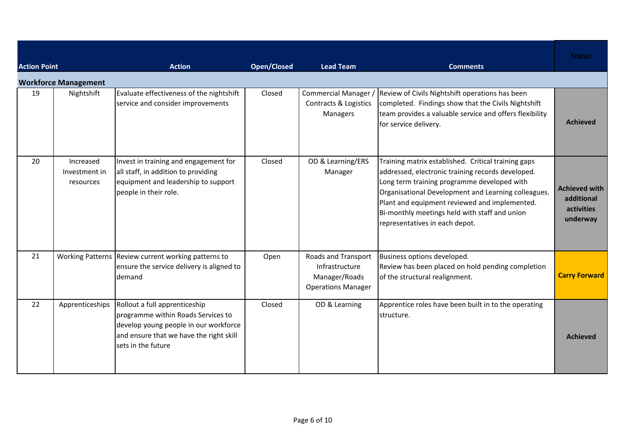| <b>Action Point</b> |                                         | <b>Action</b>                                                                                                                                                                 | <b>Open/Closed</b> | <b>Lead Team</b>                                                                           | <b>Comments</b>                                                                                                                                                                                                                                                                                                                                    | <b>Status</b>                                                |
|---------------------|-----------------------------------------|-------------------------------------------------------------------------------------------------------------------------------------------------------------------------------|--------------------|--------------------------------------------------------------------------------------------|----------------------------------------------------------------------------------------------------------------------------------------------------------------------------------------------------------------------------------------------------------------------------------------------------------------------------------------------------|--------------------------------------------------------------|
|                     | <b>Workforce Management</b>             |                                                                                                                                                                               |                    |                                                                                            |                                                                                                                                                                                                                                                                                                                                                    |                                                              |
| 19                  | Nightshift                              | Evaluate effectiveness of the nightshift<br>service and consider improvements                                                                                                 | Closed             | Commercial Manager /<br>Contracts & Logistics<br>Managers                                  | Review of Civils Nightshift operations has been<br>completed. Findings show that the Civils Nightshift<br>team provides a valuable service and offers flexibility<br>for service delivery.                                                                                                                                                         | <b>Achieved</b>                                              |
| 20                  | Increased<br>Investment in<br>resources | Invest in training and engagement for<br>all staff, in addition to providing<br>equipment and leadership to support<br>people in their role.                                  | Closed             | OD & Learning/ERS<br>Manager                                                               | Training matrix established. Critical training gaps<br>addressed, electronic training records developed.<br>Long term training programme developed with<br>Organisational Development and Learning colleagues.<br>Plant and equipment reviewed and implemented.<br>Bi-monthly meetings held with staff and union<br>representatives in each depot. | <b>Achieved with</b><br>additional<br>activities<br>underway |
| 21                  |                                         | Working Patterns Review current working patterns to<br>ensure the service delivery is aligned to<br>demand                                                                    | Open               | <b>Roads and Transport</b><br>Infrastructure<br>Manager/Roads<br><b>Operations Manager</b> | Business options developed.<br>Review has been placed on hold pending completion<br>of the structural realignment.                                                                                                                                                                                                                                 | <b>Carry Forward</b>                                         |
| 22                  | Apprenticeships                         | Rollout a full apprenticeship<br>programme within Roads Services to<br>develop young people in our workforce<br>and ensure that we have the right skill<br>sets in the future | Closed             | OD & Learning                                                                              | Apprentice roles have been built in to the operating<br>structure.                                                                                                                                                                                                                                                                                 | <b>Achieved</b>                                              |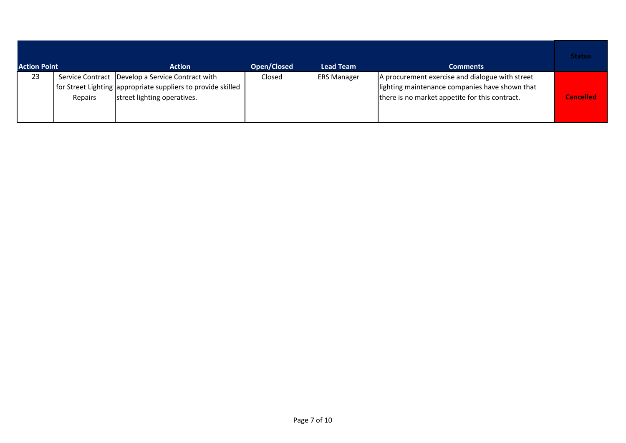| <b>Action Point</b> |         | <b>Action</b>                                                                                                                                           | Open/Closed | <b>Lead Team</b>   | <b>Comments</b>                                                                                                                                     | <b>Status</b>    |
|---------------------|---------|---------------------------------------------------------------------------------------------------------------------------------------------------------|-------------|--------------------|-----------------------------------------------------------------------------------------------------------------------------------------------------|------------------|
| 23                  | Repairs | Service Contract   Develop a Service Contract with<br>  for Street Lighting   appropriate suppliers to provide skilled  <br>street lighting operatives. | Closed      | <b>ERS Manager</b> | A procurement exercise and dialogue with street<br>lighting maintenance companies have shown that<br>there is no market appetite for this contract. | <b>Cancelled</b> |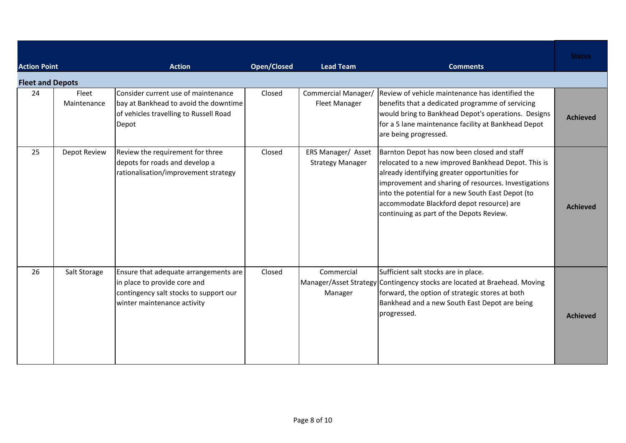| <b>Action Point</b>     |                      | <b>Action</b>                                                                                                                                  | <b>Open/Closed</b> | <b>Lead Team</b>                              | <b>Comments</b>                                                                                                                                                                                                                                                                                                                                           | <b>Status</b>   |
|-------------------------|----------------------|------------------------------------------------------------------------------------------------------------------------------------------------|--------------------|-----------------------------------------------|-----------------------------------------------------------------------------------------------------------------------------------------------------------------------------------------------------------------------------------------------------------------------------------------------------------------------------------------------------------|-----------------|
| <b>Fleet and Depots</b> |                      |                                                                                                                                                |                    |                                               |                                                                                                                                                                                                                                                                                                                                                           |                 |
| 24                      | Fleet<br>Maintenance | Consider current use of maintenance<br>bay at Bankhead to avoid the downtime<br>of vehicles travelling to Russell Road<br>Depot                | Closed             | Commercial Manager/<br><b>Fleet Manager</b>   | Review of vehicle maintenance has identified the<br>benefits that a dedicated programme of servicing<br>would bring to Bankhead Depot's operations. Designs<br>for a 5 lane maintenance facility at Bankhead Depot<br>are being progressed.                                                                                                               | <b>Achieved</b> |
| 25                      | Depot Review         | Review the requirement for three<br>depots for roads and develop a<br>rationalisation/improvement strategy                                     | Closed             | ERS Manager/ Asset<br><b>Strategy Manager</b> | Barnton Depot has now been closed and staff<br>relocated to a new improved Bankhead Depot. This is<br>already identifying greater opportunities for<br>improvement and sharing of resources. Investigations<br>into the potential for a new South East Depot (to<br>accommodate Blackford depot resource) are<br>continuing as part of the Depots Review. | <b>Achieved</b> |
| 26                      | Salt Storage         | Ensure that adequate arrangements are<br>in place to provide core and<br>contingency salt stocks to support our<br>winter maintenance activity | Closed             | Commercial<br>Manager                         | Sufficient salt stocks are in place.<br>Manager/Asset Strategy Contingency stocks are located at Braehead. Moving<br>forward, the option of strategic stores at both<br>Bankhead and a new South East Depot are being<br>progressed.                                                                                                                      | <b>Achieved</b> |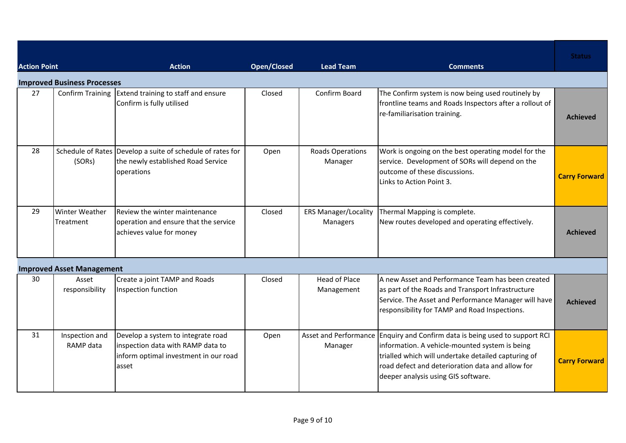| <b>Action Point</b> |                                    | <b>Action</b>                                                                                                             | <b>Open/Closed</b> | <b>Lead Team</b>                        | <b>Comments</b>                                                                                                                                                                                                                                                                 | <b>Status</b>        |
|---------------------|------------------------------------|---------------------------------------------------------------------------------------------------------------------------|--------------------|-----------------------------------------|---------------------------------------------------------------------------------------------------------------------------------------------------------------------------------------------------------------------------------------------------------------------------------|----------------------|
|                     | <b>Improved Business Processes</b> |                                                                                                                           |                    |                                         |                                                                                                                                                                                                                                                                                 |                      |
| 27                  | <b>Confirm Training</b>            | Extend training to staff and ensure<br>Confirm is fully utilised                                                          | Closed             | Confirm Board                           | The Confirm system is now being used routinely by<br>frontline teams and Roads Inspectors after a rollout of<br>re-familiarisation training.                                                                                                                                    | <b>Achieved</b>      |
| 28                  | (SORs)                             | Schedule of Rates Develop a suite of schedule of rates for<br>the newly established Road Service<br>operations            | Open               | <b>Roads Operations</b><br>Manager      | Work is ongoing on the best operating model for the<br>service. Development of SORs will depend on the<br>outcome of these discussions.<br>Links to Action Point 3.                                                                                                             | <b>Carry Forward</b> |
| 29                  | <b>Winter Weather</b><br>Treatment | Review the winter maintenance<br>operation and ensure that the service<br>achieves value for money                        | Closed             | <b>ERS Manager/Locality</b><br>Managers | Thermal Mapping is complete.<br>New routes developed and operating effectively.                                                                                                                                                                                                 | <b>Achieved</b>      |
|                     | <b>Improved Asset Management</b>   |                                                                                                                           |                    |                                         |                                                                                                                                                                                                                                                                                 |                      |
| 30                  | Asset<br>responsibility            | Create a joint TAMP and Roads<br>Inspection function                                                                      | Closed             | <b>Head of Place</b><br>Management      | A new Asset and Performance Team has been created<br>as part of the Roads and Transport Infrastructure<br>Service. The Asset and Performance Manager will have<br>responsibility for TAMP and Road Inspections.                                                                 | <b>Achieved</b>      |
| 31                  | Inspection and<br>RAMP data        | Develop a system to integrate road<br>inspection data with RAMP data to<br>inform optimal investment in our road<br>asset | Open               | Manager                                 | Asset and Performance Enquiry and Confirm data is being used to support RCI<br>information. A vehicle-mounted system is being<br>trialled which will undertake detailed capturing of<br>road defect and deterioration data and allow for<br>deeper analysis using GIS software. | <b>Carry Forward</b> |